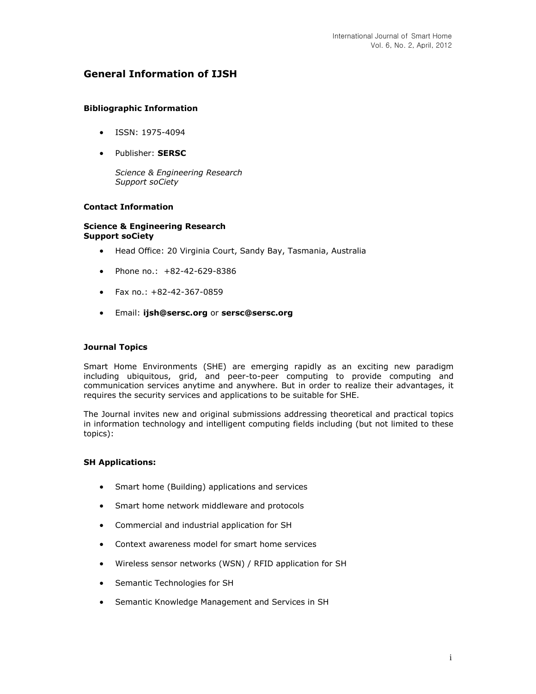# **General Information of IJSH**

### **Bibliographic Information**

- $\bullet$  ISSN: 1975-4094
- Publisher: **SERSC**

*Science & Engineering Research Support soCiety*

### **Contact Information**

#### **Science & Engineering Research Support soCiety**

- Head Office: 20 Virginia Court, Sandy Bay, Tasmania, Australia
- Phone no.: +82-42-629-8386
- $\bullet$  Fax no.: +82-42-367-0859
- Email: **[ijsh@sersc.org](mailto:ijsh@sersc.org)** or **[sersc@sersc.org](mailto:sersc@sersc.org)**

### **Journal Topics**

Smart Home Environments (SHE) are emerging rapidly as an exciting new paradigm including ubiquitous, grid, and peer-to-peer computing to provide computing and communication services anytime and anywhere. But in order to realize their advantages, it requires the security services and applications to be suitable for SHE.

The Journal invites new and original submissions addressing theoretical and practical topics in information technology and intelligent computing fields including (but not limited to these topics):

### **SH Applications:**

- Smart home (Building) applications and services
- Smart home network middleware and protocols
- Commercial and industrial application for SH
- Context awareness model for smart home services
- Wireless sensor networks (WSN) / RFID application for SH
- Semantic Technologies for SH
- Semantic Knowledge Management and Services in SH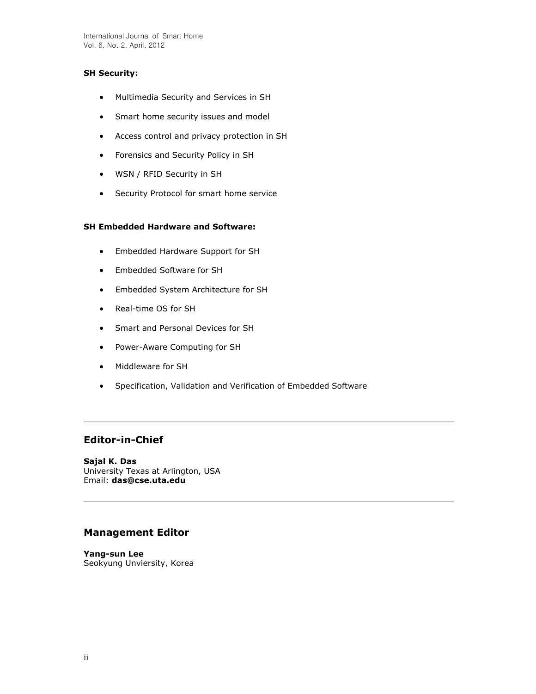## **SH Security:**

- Multimedia Security and Services in SH
- Smart home security issues and model
- Access control and privacy protection in SH
- Forensics and Security Policy in SH
- WSN / RFID Security in SH
- Security Protocol for smart home service

## **SH Embedded Hardware and Software:**

- Embedded Hardware Support for SH
- Embedded Software for SH
- Embedded System Architecture for SH
- Real-time OS for SH
- Smart and Personal Devices for SH
- Power-Aware Computing for SH
- Middleware for SH
- Specification, Validation and Verification of Embedded Software

# **Editor-in-Chief**

**Sajal K. Das** University Texas at Arlington, USA Email: **[das@cse.uta.edu](mailto:das@cse.uta.edu)**

# **Management Editor**

**Yang-sun Lee** Seokyung Unviersity, Korea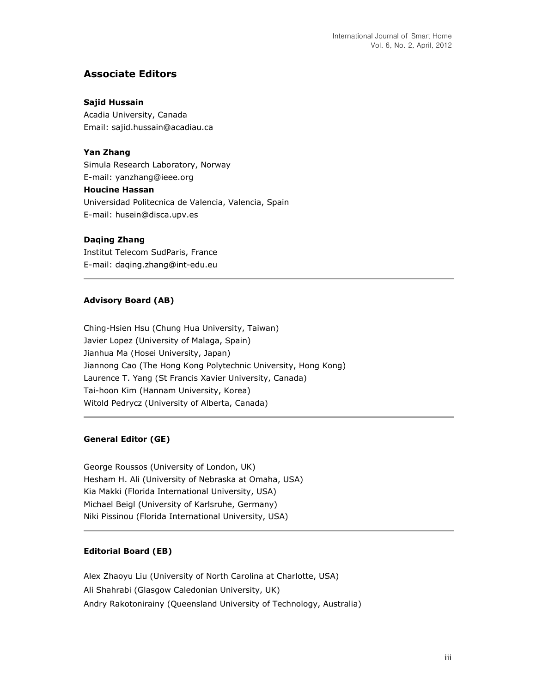# **Associate Editors**

### **Sajid Hussain**

Acadia University, Canada Email: sajid.hussain@acadiau.ca

### **Yan Zhang**

Simula Research Laboratory, Norway E-mail: yanzhang@ieee.org **Houcine Hassan**  Universidad Politecnica de Valencia, Valencia, Spain E-mail: husein@disca.upv.es

### **Daqing Zhang**

Institut Telecom SudParis, France E-mail: daqing.zhang@int-edu.eu

### **Advisory Board (AB)**

Ching-Hsien Hsu (Chung Hua University, Taiwan) Javier Lopez (University of Malaga, Spain) Jianhua Ma (Hosei University, Japan) Jiannong Cao (The Hong Kong Polytechnic University, Hong Kong) Laurence T. Yang (St Francis Xavier University, Canada) Tai-hoon Kim (Hannam University, Korea) Witold Pedrycz (University of Alberta, Canada)

## **General Editor (GE)**

George Roussos (University of London, UK) Hesham H. Ali (University of Nebraska at Omaha, USA) Kia Makki (Florida International University, USA) Michael Beigl (University of Karlsruhe, Germany) Niki Pissinou (Florida International University, USA)

## **Editorial Board (EB)**

Alex Zhaoyu Liu (University of North Carolina at Charlotte, USA) Ali Shahrabi (Glasgow Caledonian University, UK) Andry Rakotonirainy (Queensland University of Technology, Australia)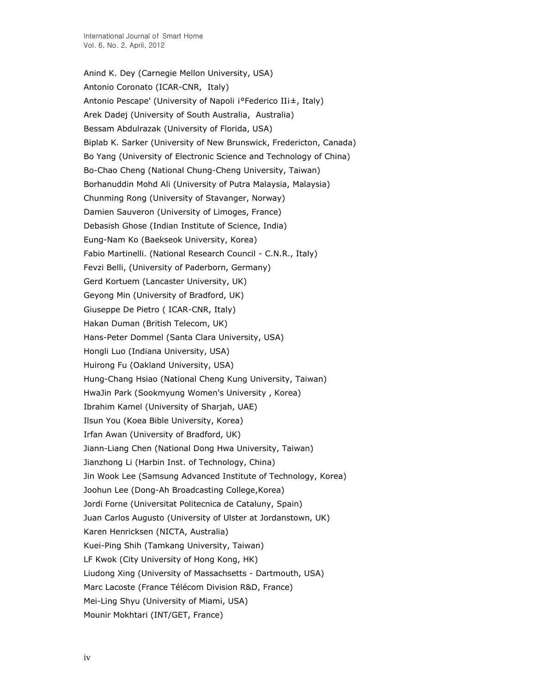Anind K. Dey (Carnegie Mellon University, USA) Antonio Coronato (ICAR-CNR, Italy) Antonio Pescape' (University of Napoli i°Federico IIi±, Italy) Arek Dadej (University of South Australia, Australia) Bessam Abdulrazak (University of Florida, USA) Biplab K. Sarker (University of New Brunswick, Fredericton, Canada) Bo Yang (University of Electronic Science and Technology of China) Bo-Chao Cheng (National Chung-Cheng University, Taiwan) Borhanuddin Mohd Ali (University of Putra Malaysia, Malaysia) Chunming Rong (University of Stavanger, Norway) Damien Sauveron (University of Limoges, France) Debasish Ghose (Indian Institute of Science, India) Eung-Nam Ko (Baekseok University, Korea) Fabio Martinelli. (National Research Council - C.N.R., Italy) Fevzi Belli, (University of Paderborn, Germany) Gerd Kortuem (Lancaster University, UK) Geyong Min (University of Bradford, UK) Giuseppe De Pietro ( ICAR-CNR, Italy) Hakan Duman (British Telecom, UK) Hans-Peter Dommel (Santa Clara University, USA) Hongli Luo (Indiana University, USA) Huirong Fu (Oakland University, USA) Hung-Chang Hsiao (National Cheng Kung University, Taiwan) HwaJin Park (Sookmyung Women's University , Korea) Ibrahim Kamel (University of Sharjah, UAE) Ilsun You (Koea Bible University, Korea) Irfan Awan (University of Bradford, UK) Jiann-Liang Chen (National Dong Hwa University, Taiwan) Jianzhong Li (Harbin Inst. of Technology, China) Jin Wook Lee (Samsung Advanced Institute of Technology, Korea) Joohun Lee (Dong-Ah Broadcasting College,Korea) Jordi Forne (Universitat Politecnica de Cataluny, Spain) Juan Carlos Augusto (University of Ulster at Jordanstown, UK) Karen Henricksen (NICTA, Australia) Kuei-Ping Shih (Tamkang University, Taiwan) LF Kwok (City University of Hong Kong, HK) Liudong Xing (University of Massachsetts - Dartmouth, USA) Marc Lacoste (France Télécom Division R&D, France) Mei-Ling Shyu (University of Miami, USA) Mounir Mokhtari (INT/GET, France)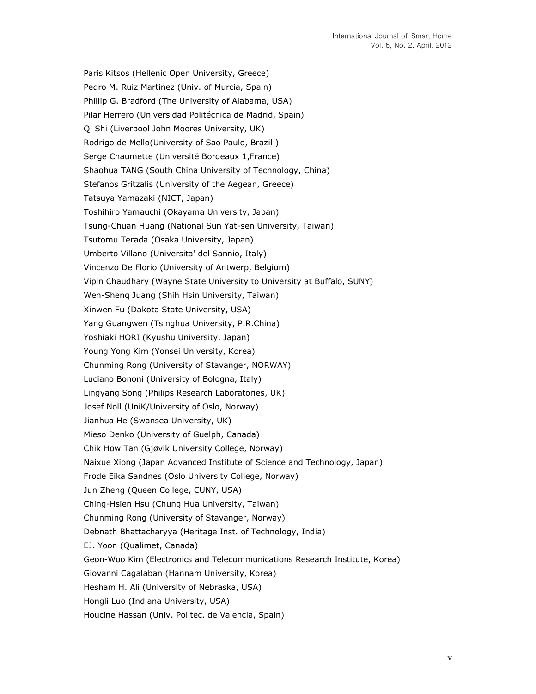Paris Kitsos (Hellenic Open University, Greece) Pedro M. Ruiz Martinez (Univ. of Murcia, Spain) Phillip G. Bradford (The University of Alabama, USA) Pilar Herrero (Universidad Politécnica de Madrid, Spain) Qi Shi (Liverpool John Moores University, UK) Rodrigo de Mello(University of Sao Paulo, Brazil ) Serge Chaumette (Université Bordeaux 1,France) Shaohua TANG (South China University of Technology, China) Stefanos Gritzalis (University of the Aegean, Greece) Tatsuya Yamazaki (NICT, Japan) Toshihiro Yamauchi (Okayama University, Japan) Tsung-Chuan Huang (National Sun Yat-sen University, Taiwan) Tsutomu Terada (Osaka University, Japan) Umberto Villano (Universita' del Sannio, Italy) Vincenzo De Florio (University of Antwerp, Belgium) Vipin Chaudhary (Wayne State University to University at Buffalo, SUNY) Wen-Shenq Juang (Shih Hsin University, Taiwan) Xinwen Fu (Dakota State University, USA) Yang Guangwen (Tsinghua University, P.R.China) Yoshiaki HORI (Kyushu University, Japan) Young Yong Kim (Yonsei University, Korea) Chunming Rong (University of Stavanger, NORWAY) Luciano Bononi (University of Bologna, Italy) Lingyang Song (Philips Research Laboratories, UK) Josef Noll (UniK/University of Oslo, Norway) Jianhua He (Swansea University, UK) Mieso Denko (University of Guelph, Canada) Chik How Tan (Gjøvik University College, Norway) Naixue Xiong (Japan Advanced Institute of Science and Technology, Japan) Frode Eika Sandnes (Oslo University College, Norway) Jun Zheng (Queen College, CUNY, USA) Ching-Hsien Hsu (Chung Hua University, Taiwan) Chunming Rong (University of Stavanger, Norway) Debnath Bhattacharyya (Heritage Inst. of Technology, India) EJ. Yoon (Qualimet, Canada) Geon-Woo Kim (Electronics and Telecommunications Research Institute, Korea) Giovanni Cagalaban (Hannam University, Korea) Hesham H. Ali (University of Nebraska, USA) Hongli Luo (Indiana University, USA) Houcine Hassan (Univ. Politec. de Valencia, Spain)